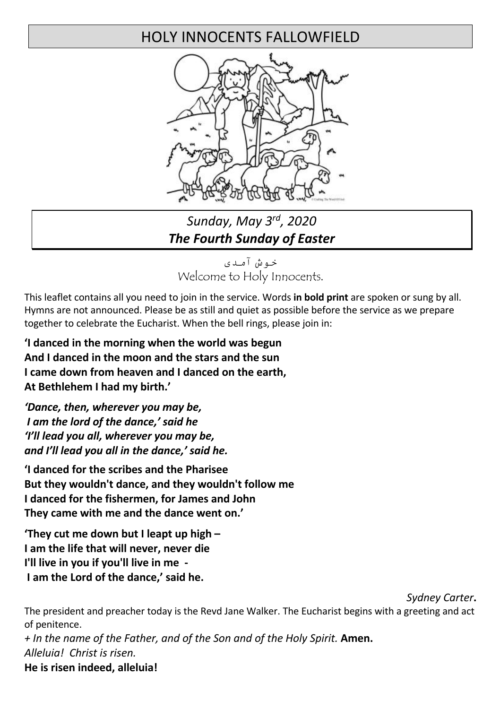# HOLY INNOCENTS FALLOWFIELD



# *Sunday, May 3rd, 2020 The Fourth Sunday of Easter*

خوش آمدی Welcome to Holy Innocents.

This leaflet contains all you need to join in the service. Words **in bold print** are spoken or sung by all. Hymns are not announced. Please be as still and quiet as possible before the service as we prepare together to celebrate the Eucharist. When the bell rings, please join in:

**'I danced in the morning when the world was begun And I danced in the moon and the stars and the sun I came down from heaven and I danced on the earth, At Bethlehem I had my birth.'** 

*'Dance, then, wherever you may be, I am the lord of the dance,' said he 'I'll lead you all, wherever you may be, and I'll lead you all in the dance,' said he.* 

**'I danced for the scribes and the Pharisee But they wouldn't dance, and they wouldn't follow me I danced for the fishermen, for James and John They came with me and the dance went on.'**

**'They cut me down but I leapt up high – I am the life that will never, never die I'll live in you if you'll live in me - I am the Lord of the dance,' said he.** 

*Sydney Carter***.** 

The president and preacher today is the Revd Jane Walker. The Eucharist begins with a greeting and act of penitence.

*+ In the name of the Father, and of the Son and of the Holy Spirit.* **Amen.** *Alleluia! Christ is risen.* 

# **He is risen indeed, alleluia!**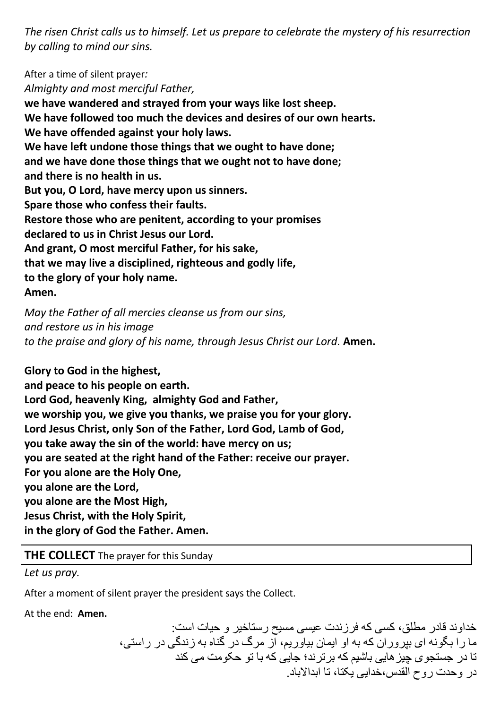*The risen Christ calls us to himself. Let us prepare to celebrate the mystery of his resurrection by calling to mind our sins.*

After a time of silent prayer*: Almighty and most merciful Father,*  **we have wandered and strayed from your ways like lost sheep. We have followed too much the devices and desires of our own hearts. We have offended against your holy laws. We have left undone those things that we ought to have done; and we have done those things that we ought not to have done; and there is no health in us. But you, O Lord, have mercy upon us sinners. Spare those who confess their faults. Restore those who are penitent, according to your promises declared to us in Christ Jesus our Lord. And grant, O most merciful Father, for his sake, that we may live a disciplined, righteous and godly life, to the glory of your holy name. Amen.** 

*May the Father of all mercies cleanse us from our sins, and restore us in his image to the praise and glory of his name, through Jesus Christ our Lord.* **Amen.**

**Glory to God in the highest,** 

**and peace to his people on earth. Lord God, heavenly King, almighty God and Father, we worship you, we give you thanks, we praise you for your glory. Lord Jesus Christ, only Son of the Father, Lord God, Lamb of God, you take away the sin of the world: have mercy on us; you are seated at the right hand of the Father: receive our prayer. For you alone are the Holy One, you alone are the Lord, you alone are the Most High, Jesus Christ, with the Holy Spirit, in the glory of God the Father. Amen.**

**THE COLLECT** The prayer for this Sunday

*Let us pray.* 

After a moment of silent prayer the president says the Collect.

At the end: **Amen.**

خداوند قادر مطلق، کسی که فرزندت عیسی مسیح رستاخیر و حیات است: ما ر ۱ بگو نه ای ببر و ر ان که به او ابمان بباور بم، از مر گ در گناه به ز ندگے در ر استے، تا در جستجوی چیز هایی باشیم که بر ترند؛ جایی که با تو حکومت می کند در وحدت روح القدس،خدابی یکتا، تا ابدالاباد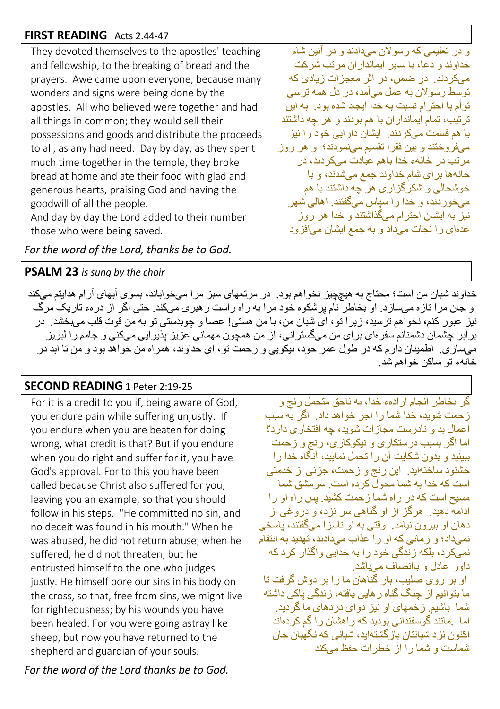#### **FIRST READING** Acts 2.44-47

They devoted themselves to the apostles' teaching and fellowship, to the breaking of bread and the prayers. Awe came upon everyone, because many wonders and signs were being done by the apostles. All who believed were together and had all things in common; they would sell their possessions and goods and distribute the proceeds to all, as any had need. Day by day, as they spent much time together in the temple, they broke bread at home and ate their food with glad and generous hearts, praising God and having the goodwill of all the people.

And day by day the Lord added to their number those who were being saved.

*For the word of the Lord, thanks be to God.*

#### **PSALM 23** *is sung by the choir*

خداوند شبان من است؛ محناج به هیچچیز نخواهم بود. در مرتعهای سبز مر ا میخو اباند، بسوی آبهای آر ام هدایتم می كند و جان مر ا تاز ہ مے ساز در او بخاطر نام بر شکو م خو د مر ا به ر اه ر است ر هبر ی مے یکند . حتی اگر از در مء تار یک مر گ نيز عبور كنم، نخواهم ترسيد، زيرا تو، اي شبان من، با من هستي! عصا و چوبدستي تو به من قوت قلب ميبخشد . در برابر چشمان دشمنانم سفر ای بر ای من میگستر انی، از من همچون مهمانی عزیز پذیر ایی میکنی و جامم را لبریز میسازی. اطمینان دارم كه در طول عمر خود، نیكویی و رحمت تو، ای خداوند، همراه من خواهد بود و من نا ابد در خانهء تو ساكن خو اهم شد.

# **SECOND READING** 1 Peter 2:19-25

For it is a credit to you if, being aware of God, you endure pain while suffering unjustly. If you endure when you are beaten for doing wrong, what credit is that? But if you endure when you do right and suffer for it, you have God's approval. For to this you have been called because Christ also suffered for you, leaving you an example, so that you should follow in his steps. "He committed no sin, and no deceit was found in his mouth." When he was abused, he did not return abuse; when he suffered, he did not threaten; but he entrusted himself to the one who judges justly. He himself bore our sins in his body on the cross, so that, free from sins, we might live for righteousness; by his wounds you have been healed. For you were going astray like sheep, but now you have returned to the shepherd and guardian of your souls.

*For the word of the Lord thanks be to God.*

گر بخاطر انجام ار ادهء خدا، به ناحق متحمل ر نج و ز حمت شوید، خدا شما را اجر خواهد داد. اگر به سبب اعمال بد و نادر ست مجاز ات شوید، جه افتخار ی دار د؟ اما اگر بسبب در ستكارى و نيكوكارى، رنج و زحمت نسند و بدون شكانت آن ر ا تحمل نمایند، آنگاه خدا ر ا خشنود ساختهاید. این رنج و زحمت، جزئی از خدمتی است كه خدا به شما محو لّ كر ده است. سر مشق شما مسیح است كه در راه شما ز حمت كشید. پس راه او را ادامه دهید. هر گز از او گناهی سر نزد، و در و غی از دهان او بیرون نیامد. وقتی به او ناسزا میگفتند، یاسخی نمیداد؛ و زمانی كه او را عذاب میدادند، تهدید به انتقام نمىكرد، بلكه زندگى خود را به خدايى واگذار كرد كه داور عادل و باانصاف مے پاشد. او بر روی صلیب، بار گناهان ما را بر دوش گرفت تا ما بنو انبم از جنگ گناه ر هابی یافته، ز ندگی باکی داشته شما باشیم. زخمهای او نیز دوای دردهای ما گردید. اما . مانند گوسفندانی بودید که راهشان را گم کردهاند اكنون نز د شيانتان باز گشتهابد، شياني كه نگهيان جان شماست و شما را از خطر ات حفظ مے کند

و در تعلیمی که رسو لان مےدادند و در آئین شام خداوند و دعا، با سایر ایماندار ان مر تب شر كت می کر دند. در ضمن، در اثر معجز ات زبادی که توسط رسولان به عمل می آمد، در دل همه ترسی تو أم با احتر ام نسبت به خدا ابجاد شده بو د. به این تر تیب، تمام ایماندار ان با هم بودند و هر چه داشتند ما هم قسمت مے کر دندر ایشان دار ایی خواد را نیز می فر و خنتد و بین فقر ا تقسیم مے نمو دند؛ و هر روز ا مر تب در خانهء خدا باهم عبادت مےکر دند، در خانهها برای شام خداوند جمع میشدند، و با خوشحالی و شکرگزاری هر چه داشتند با هم میخوردند، و خدا را سیاس میگفتند. اهالی شهر نیز به ایشان احتر ام مے گذاشتند و خدا هر روز عدمای ر ا نجات میداد و به جمع ایشان می افز و د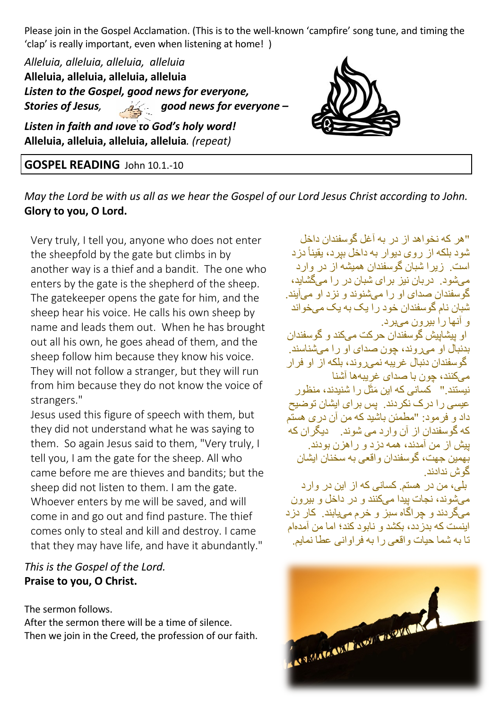Please join in the Gospel Acclamation. (This is to the well-known 'campfire' song tune, and timing the 'clap' is really important, even when listening at home! )

*Alleluia, alleluia, alleluia, alleluia* **Alleluia, alleluia, alleluia, alleluia** *Listen to the Gospel, good news for everyone, Stories of Jesus, good news for everyone – Listen in faith and love to God's holy word!* 

**Alleluia, alleluia, alleluia, alleluia***. (repeat)*

## **GOSPEL READING** John 10.1.-10

*May the Lord be with us all as we hear the Gospel of our Lord Jesus Christ according to John.* **Glory to you, O Lord.**

Very truly, I tell you, anyone who does not enter the sheepfold by the gate but climbs in by another way is a thief and a bandit. The one who enters by the gate is the shepherd of the sheep. The gatekeeper opens the gate for him, and the sheep hear his voice. He calls his own sheep by name and leads them out. When he has brought out all his own, he goes ahead of them, and the sheep follow him because they know his voice. They will not follow a stranger, but they will run from him because they do not know the voice of strangers."

Jesus used this figure of speech with them, but they did not understand what he was saying to them. So again Jesus said to them, "Very truly, I tell you, I am the gate for the sheep. All who came before me are thieves and bandits; but the sheep did not listen to them. I am the gate. Whoever enters by me will be saved, and will come in and go out and find pasture. The thief comes only to steal and kill and destroy. I came that they may have life, and have it abundantly."

## *This is the Gospel of the Lord.* **Praise to you, O Christ.**

The sermon follows.

After the sermon there will be a time of silence. Then we join in the Creed, the profession of our faith.

"هر كه نخو اهد از در به آغل گوسفندان داخل شود بلكه از روي ديوار به داخل بپرد، يقيناً دزد است. زیر ا شبان گوسفندان همیشه از در وار د مے شود . در بان نیز ابر ای شبان در ار ا مے گشاہد، گو سفندان صدای او را مے شنوند و نز داو مے آبند. شبان نام گو سفندان خو د ر ۱ یک به یک می خو اند و آنھا را بیر ون مے پر د. او بیشابیش گوسفندان حرکت میکند و گوسفندان بدنبال او مے روند، جون صدای او را مے شناسند. گو سفندان دنبال غر ببه نمے روند، بلكه از او فر ار میکنند، جون با صدای غر بیهها آشنا نیستند." کسان*ی* که این مَثَّل را شنیدند، منظور عبسی را در ک نکر دند. پس بر ای ایشان تو ضیح داد و افر مواد: "مطمئن باشید که من آن در ی هستم كه گوسفندان از آن وارد مى شوند. ديگران كه بیش آز امن آمدند، همه دزاد و اراهزان بوادند. .<br>بهمین جهت، گوسفندان و اقعی به سخنان ایشان گو ش ندادند بلي، من در هستم كسانى كه از اين در وار د میشوند، نجات بیدا میكنند و در داخل و بیرون مه گر دند و چر اگاه سبز و خرم میپابند. کار دزد اینست که بدر دد، بکشد و نابود کند؛ اما من آمدهام تا به شما حبات و اقعی ر ا به فر او انبی عطا نمایم.

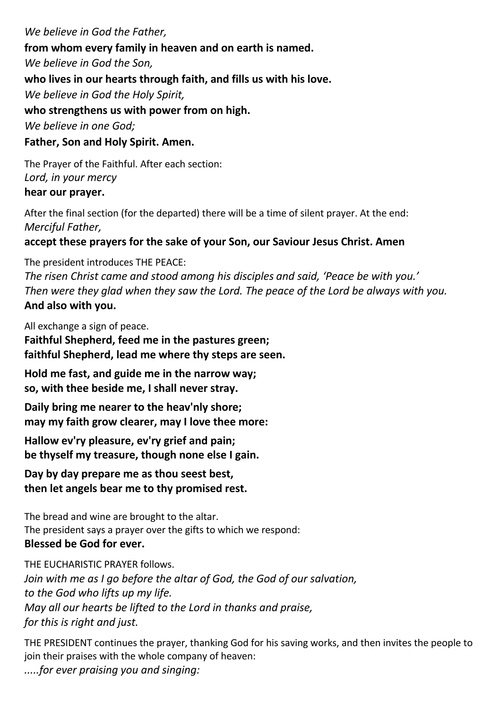*We believe in God the Father,* **from whom every family in heaven and on earth is named.** *We believe in God the Son,* **who lives in our hearts through faith, and fills us with his love.** *We believe in God the Holy Spirit,* **who strengthens us with power from on high.** *We believe in one God;* **Father, Son and Holy Spirit. Amen.** 

The Prayer of the Faithful. After each section: *Lord, in your mercy* **hear our prayer.** 

After the final section (for the departed) there will be a time of silent prayer. At the end: *Merciful Father,*

### **accept these prayers for the sake of your Son, our Saviour Jesus Christ. Amen**

The president introduces THE PEACE:

*The risen Christ came and stood among his disciples and said, 'Peace be with you.' Then were they glad when they saw the Lord. The peace of the Lord be always with you.*  **And also with you.**

All exchange a sign of peace.

**Faithful Shepherd, feed me in the pastures green; faithful Shepherd, lead me where thy steps are seen.**

**Hold me fast, and guide me in the narrow way; so, with thee beside me, I shall never stray.**

**Daily bring me nearer to the heav'nly shore; may my faith grow clearer, may I love thee more:**

**Hallow ev'ry pleasure, ev'ry grief and pain; be thyself my treasure, though none else I gain.**

**Day by day prepare me as thou seest best, then let angels bear me to thy promised rest.**

The bread and wine are brought to the altar. The president says a prayer over the gifts to which we respond: **Blessed be God for ever.**

THE EUCHARISTIC PRAYER follows. *Join with me as I go before the altar of God, the God of our salvation, to the God who lifts up my life. May all our hearts be lifted to the Lord in thanks and praise, for this is right and just.* 

THE PRESIDENT continues the prayer, thanking God for his saving works, and then invites the people to join their praises with the whole company of heaven:

*.....for ever praising you and singing:*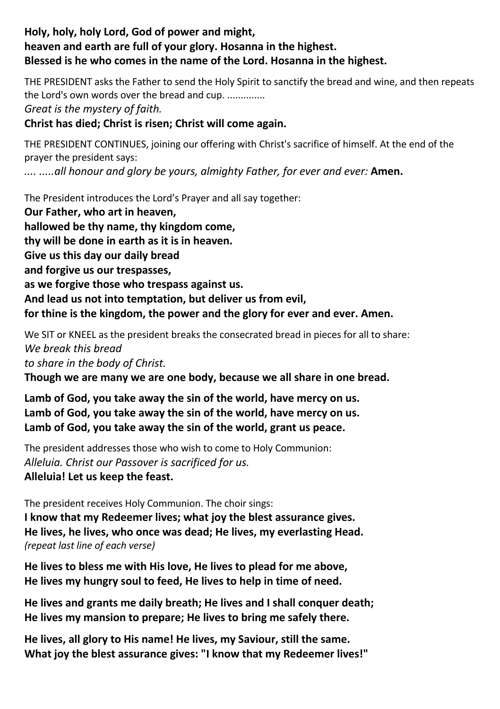#### **Holy, holy, holy Lord, God of power and might, heaven and earth are full of your glory. Hosanna in the highest. Blessed is he who comes in the name of the Lord. Hosanna in the highest.**

THE PRESIDENT asks the Father to send the Holy Spirit to sanctify the bread and wine, and then repeats the Lord's own words over the bread and cup. ..............

*Great is the mystery of faith.*

#### **Christ has died; Christ is risen; Christ will come again.**

THE PRESIDENT CONTINUES, joining our offering with Christ's sacrifice of himself. At the end of the prayer the president says:

.... .....all honour and glory be yours, almighty Father, for ever and ever: **Amen.** 

The President introduces the Lord's Prayer and all say together: **Our Father, who art in heaven, hallowed be thy name, thy kingdom come, thy will be done in earth as it is in heaven. Give us this day our daily bread and forgive us our trespasses, as we forgive those who trespass against us. And lead us not into temptation, but deliver us from evil, for thine is the kingdom, the power and the glory for ever and ever. Amen.** 

We SIT or KNEEL as the president breaks the consecrated bread in pieces for all to share: *We break this bread to share in the body of Christ.*

**Though we are many we are one body, because we all share in one bread.**

**Lamb of God, you take away the sin of the world, have mercy on us. Lamb of God, you take away the sin of the world, have mercy on us. Lamb of God, you take away the sin of the world, grant us peace.**

The president addresses those who wish to come to Holy Communion: *Alleluia. Christ our Passover is sacrificed for us.*  **Alleluia! Let us keep the feast.**

The president receives Holy Communion. The choir sings: **I know that my Redeemer lives; what joy the blest assurance gives. He lives, he lives, who once was dead; He lives, my everlasting Head.** *(repeat last line of each verse)*

**He lives to bless me with His love, He lives to plead for me above, He lives my hungry soul to feed, He lives to help in time of need.**

**He lives and grants me daily breath; He lives and I shall conquer death; He lives my mansion to prepare; He lives to bring me safely there.**

**He lives, all glory to His name! He lives, my Saviour, still the same. What joy the blest assurance gives: "I know that my Redeemer lives!"**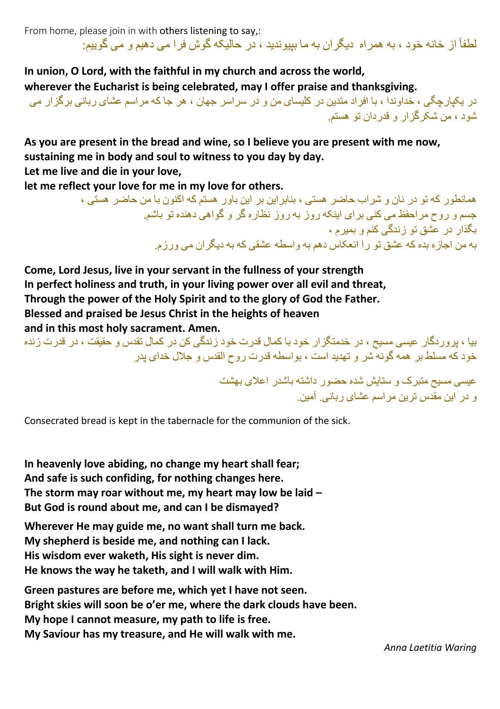From home, please join in with others listening to say,: اظفاً از خانه خود ، به همر اه دیگر ان به ما ببیوندید ، در حالیکه گوش فر ا می دهیم و می گو بیم:

**In union, O Lord, with the faithful in my church and across the world, wherever the Eucharist is being celebrated, may I offer praise and thanksgiving.**  در بکبار جگے ، ، خداوندا ، یا افر اد مندین در کلیسای من و در سر اسر جھان ، هر جا که مر اسم عشای ر بانی بر گز ار می

شو د ، من شکر گز ار و قدر دان تو هستم.

**As you are present in the bread and wine, so I believe you are present with me now, sustaining me in body and soul to witness to you day by day.** 

**Let me live and die in your love,** 

**let me reflect your love for me in my love for others.** 

ہمانطور که تو در نان و شر اب حاضر ہستے ، بنابر ابن بر ابن باور ہستم که اکنون با من حاضر ہستے ، جسم و روح مر احفظ می کنی بر ای اینکه روز به روز نظار ه گر و گواهی دهنده تو باشم. بگذار در عشق تو زندگی کنم و بمبر م به من اجازه بده که عشق تو را انعکاس دهم به واسطه عشقى که به دبگر ان مى ورز م

**Come, Lord Jesus, live in your servant in the fullness of your strength In perfect holiness and truth, in your living power over all evil and threat, Through the power of the Holy Spirit and to the glory of God the Father. Blessed and praised be Jesus Christ in the heights of heaven and in this most holy sacrament. Amen.**

سا ، در ، دگار عبسی ، سبح ، در خدمتگز ار خود با کمال قدرت خود زندگی کن در کمال تقدس و حقیقت ، در قدرت زنده خود که مسلط بر همه گونه ًشر و تهدید است ، بواسطه قدرت روح القدس و جلال خدای بدر

> عیسی مسیح متبرک و ستایش شده حضور داشته باشدر اعلای بهشت و در این مقدس ترین مر اسم عشای ریانبی آمین

Consecrated bread is kept in the tabernacle for the communion of the sick.

**In heavenly love abiding, no change my heart shall fear; And safe is such confiding, for nothing changes here. The storm may roar without me, my heart may low be laid – But God is round about me, and can I be dismayed?** 

**Wherever He may guide me, no want shall turn me back. My shepherd is beside me, and nothing can I lack. His wisdom ever waketh, His sight is never dim. He knows the way he taketh, and I will walk with Him.**

**Green pastures are before me, which yet I have not seen. Bright skies will soon be o'er me, where the dark clouds have been. My hope I cannot measure, my path to life is free. My Saviour has my treasure, and He will walk with me.**

*Anna Laetitia Waring*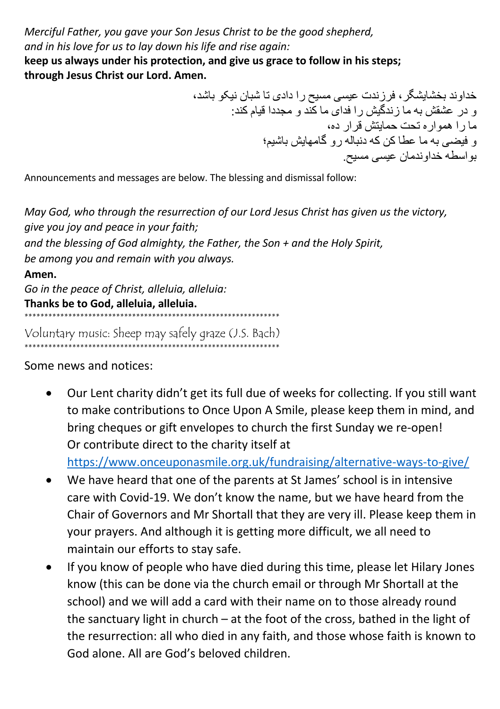*Merciful Father, you gave your Son Jesus Christ to be the good shepherd, and in his love for us to lay down his life and rise again:* **keep us always under his protection, and give us grace to follow in his steps;**

**through Jesus Christ our Lord. Amen.**

خداوند بخشابشگر ، فرزندت عیسی مسیح را دادی تا شبان نیکو باشد، و در عشقش به ما ز ندگیش ر ا فدای ما کند و مجددا قیام کند: .<br>ما را هموار ه تحت حمایتش قرار ده، ، میشی به ما عطاکن که دنباله رو گامهابش باشیم؛ بو اسطه خداو ندمان عبسے مسبح.

Announcements and messages are below. The blessing and dismissal follow:

*May God, who through the resurrection of our Lord Jesus Christ has given us the victory, give you joy and peace in your faith; and the blessing of God almighty, the Father, the Son + and the Holy Spirit, be among you and remain with you always.* 

#### **Amen.**

*Go in the peace of Christ, alleluia, alleluia:* **Thanks be to God, alleluia, alleluia.** \*\*\*\*\*\*\*\*\*\*\*\*\*\*\*\*\*\*\*\*\*\*\*\*\*\*\*\*\*\*\*\*\*\*\*\*\*\*\*\*\*\*\*\*\*\*\*\*\*\*\*\*\*\*\*\*\*\*\*\*\*\*\*\*

Voluntary music: Sheep may safely graze (J.S. Bach) \*\*\*\*\*\*\*\*\*\*\*\*\*\*\*\*\*\*\*\*\*\*\*\*\*\*\*\*\*\*\*\*\*\*\*\*\*\*\*\*\*\*\*\*\*\*\*\*\*\*\*\*\*\*\*\*\*\*\*\*\*\*\*\*

Some news and notices:

• Our Lent charity didn't get its full due of weeks for collecting. If you still want to make contributions to Once Upon A Smile, please keep them in mind, and bring cheques or gift envelopes to church the first Sunday we re-open! Or contribute direct to the charity itself at

https://www.onceuponasmile.org.uk/fundraising/alternative-ways-to-give/

- We have heard that one of the parents at St James' school is in intensive care with Covid-19. We don't know the name, but we have heard from the Chair of Governors and Mr Shortall that they are very ill. Please keep them in your prayers. And although it is getting more difficult, we all need to maintain our efforts to stay safe.
- If you know of people who have died during this time, please let Hilary Jones know (this can be done via the church email or through Mr Shortall at the school) and we will add a card with their name on to those already round the sanctuary light in church – at the foot of the cross, bathed in the light of the resurrection: all who died in any faith, and those whose faith is known to God alone. All are God's beloved children.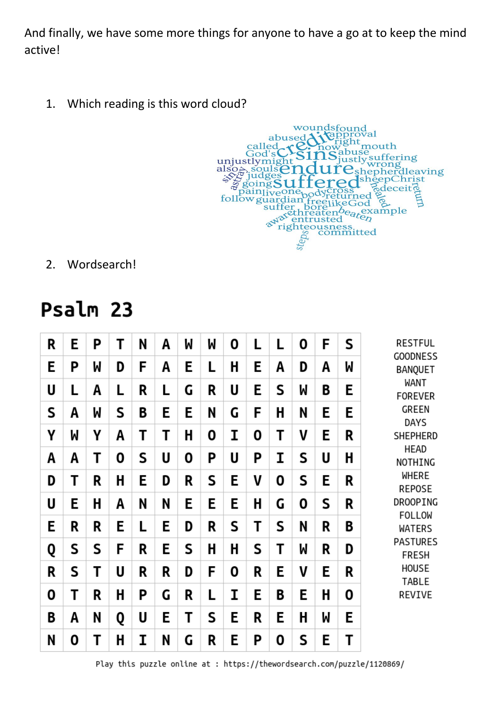And finally, we have some more things for anyone to have a go at to keep the mind active!

1. Which reading is this word cloud?



2. Wordsearch!

# Psalm 23

| R | E | P | Τ | N | A | M | M | 0 | L | L | 0 | F | S | <b>RESTFUL</b><br><b>GOODNESS</b><br><b>BANQUET</b><br>WANT<br><b>FOREVER</b><br><b>GREEN</b><br><b>DAYS</b><br><b>SHEPHERD</b><br><b>HEAD</b><br>NOTHING<br>WHERE<br><b>REPOSE</b><br>DROOPING<br><b>FOLLOW</b><br>WATERS<br><b>PASTURES</b><br><b>FRESH</b><br>HOUSE<br><b>TABLE</b><br>REVIVE |
|---|---|---|---|---|---|---|---|---|---|---|---|---|---|--------------------------------------------------------------------------------------------------------------------------------------------------------------------------------------------------------------------------------------------------------------------------------------------------|
| E | Ρ | M | D | F | A | E | L | H | E | A | D | A | W |                                                                                                                                                                                                                                                                                                  |
| U | L | A | L | R | L | G | R | U | E | S | W | B | E |                                                                                                                                                                                                                                                                                                  |
| S | A | M | S | B | E | E | N | G | F | H | N | E | E |                                                                                                                                                                                                                                                                                                  |
| Υ | M | Υ | A | Т | Т | H | 0 | I | 0 | Т | V | E | R |                                                                                                                                                                                                                                                                                                  |
| A | A | Τ | 0 | S | U | 0 | Ρ | U | P | I | S | U | Η |                                                                                                                                                                                                                                                                                                  |
| D | T | R | H | E | D | R | S | E | V | 0 | S | E | R |                                                                                                                                                                                                                                                                                                  |
| U | E | H | A | N | N | E | E | E | H | G | 0 | S | R |                                                                                                                                                                                                                                                                                                  |
| E | R | R | E | L | E | D | R | S | Т | S | N | R | B |                                                                                                                                                                                                                                                                                                  |
| Q | S | S | F | R | E | S | H | H | S | T | M | R | D |                                                                                                                                                                                                                                                                                                  |
| R | S | Τ | U | R | R | D | F | 0 | R | E | V | E | R |                                                                                                                                                                                                                                                                                                  |
| 0 | T | R | H | P | G | R | Г | I | E | B | E | H | 0 |                                                                                                                                                                                                                                                                                                  |
| B | A | N | Q | U | E | T | S | E | R | E | Η | M | E |                                                                                                                                                                                                                                                                                                  |
| N | 0 | T | H | I | N | G | R | E | Ρ | 0 | S | E | Т |                                                                                                                                                                                                                                                                                                  |

Play this puzzle online at : https://thewordsearch.com/puzzle/1120869/